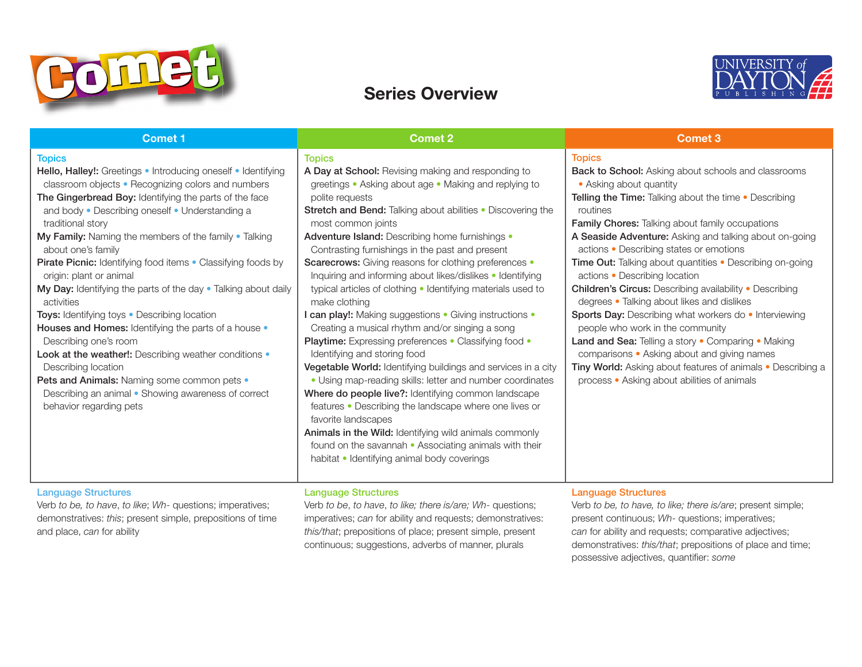

# Series Overview



| <b>Comet 1</b>                                                                                                                                                                                                                                                                                                                                                                                                                                                                                                                                                                                                                                                                                                                                                                                                                                                                     | <b>Comet 2</b>                                                                                                                                                                                                                                                                                                                                                                                                                                                                                                                                                                                                                                                                                                                                                                                                                                                                                                                                                                                                                                                                                                                                                                                                   | Comet 3                                                                                                                                                                                                                                                                                                                                                                                                                                                                                                                                                                                                                                                                                                                                                                                                                                                                               |
|------------------------------------------------------------------------------------------------------------------------------------------------------------------------------------------------------------------------------------------------------------------------------------------------------------------------------------------------------------------------------------------------------------------------------------------------------------------------------------------------------------------------------------------------------------------------------------------------------------------------------------------------------------------------------------------------------------------------------------------------------------------------------------------------------------------------------------------------------------------------------------|------------------------------------------------------------------------------------------------------------------------------------------------------------------------------------------------------------------------------------------------------------------------------------------------------------------------------------------------------------------------------------------------------------------------------------------------------------------------------------------------------------------------------------------------------------------------------------------------------------------------------------------------------------------------------------------------------------------------------------------------------------------------------------------------------------------------------------------------------------------------------------------------------------------------------------------------------------------------------------------------------------------------------------------------------------------------------------------------------------------------------------------------------------------------------------------------------------------|---------------------------------------------------------------------------------------------------------------------------------------------------------------------------------------------------------------------------------------------------------------------------------------------------------------------------------------------------------------------------------------------------------------------------------------------------------------------------------------------------------------------------------------------------------------------------------------------------------------------------------------------------------------------------------------------------------------------------------------------------------------------------------------------------------------------------------------------------------------------------------------|
| <b>Topics</b><br>Hello, Halley!: Greetings . Introducing oneself . Identifying<br>classroom objects . Recognizing colors and numbers<br>The Gingerbread Boy: Identifying the parts of the face<br>and body . Describing oneself . Understanding a<br>traditional story<br>My Family: Naming the members of the family • Talking<br>about one's family<br>Pirate Picnic: Identifying food items . Classifying foods by<br>origin: plant or animal<br>My Day: Identifying the parts of the day . Talking about daily<br>activities<br>Toys: Identifying toys . Describing location<br>Houses and Homes: Identifying the parts of a house •<br>Describing one's room<br>Look at the weather!: Describing weather conditions .<br>Describing location<br>Pets and Animals: Naming some common pets •<br>Describing an animal • Showing awareness of correct<br>behavior regarding pets | <b>Topics</b><br>A Day at School: Revising making and responding to<br>greetings • Asking about age • Making and replying to<br>polite requests<br>Stretch and Bend: Talking about abilities . Discovering the<br>most common joints<br>Adventure Island: Describing home furnishings •<br>Contrasting furnishings in the past and present<br><b>Scarecrows:</b> Giving reasons for clothing preferences •<br>Inquiring and informing about likes/dislikes • Identifying<br>typical articles of clothing . Identifying materials used to<br>make clothing<br>I can play!: Making suggestions . Giving instructions .<br>Creating a musical rhythm and/or singing a song<br><b>Playtime:</b> Expressing preferences • Classifying food •<br>Identifying and storing food<br>Vegetable World: Identifying buildings and services in a city<br>• Using map-reading skills: letter and number coordinates<br>Where do people live?: Identifying common landscape<br>features • Describing the landscape where one lives or<br>favorite landscapes<br>Animals in the Wild: Identifying wild animals commonly<br>found on the savannah • Associating animals with their<br>habitat • Identifying animal body coverings | <b>Topics</b><br><b>Back to School:</b> Asking about schools and classrooms<br>• Asking about quantity<br><b>Telling the Time:</b> Talking about the time • Describing<br>routines<br><b>Family Chores:</b> Talking about family occupations<br>A Seaside Adventure: Asking and talking about on-going<br>actions . Describing states or emotions<br><b>Time Out:</b> Talking about quantities • Describing on-going<br>actions • Describing location<br><b>Children's Circus: Describing availability . Describing</b><br>degrees • Talking about likes and dislikes<br>Sports Day: Describing what workers do . Interviewing<br>people who work in the community<br>Land and Sea: Telling a story . Comparing . Making<br>comparisons • Asking about and giving names<br>Tiny World: Asking about features of animals . Describing a<br>process • Asking about abilities of animals |

## Language Structures

Verb *to be, to have*, *to like*; *Wh*- questions; imperatives; demonstratives: *this*; present simple, prepositions of time and place, *can* for ability

Verb *to be*, *to have*, *to like; there is/are; Wh*- questions; imperatives; *can* for ability and requests; demonstratives: *this/that*; prepositions of place; present simple, present continuous; suggestions, adverbs of manner, plurals

Language Structures

Language Structures

Verb *to be, to have, to like; there is/are*; present simple; present continuous; *Wh*- questions; imperatives; *can* for ability and requests; comparative adjectives; demonstratives: *this/that*; prepositions of place and time; possessive adjectives, quantifier: *some*